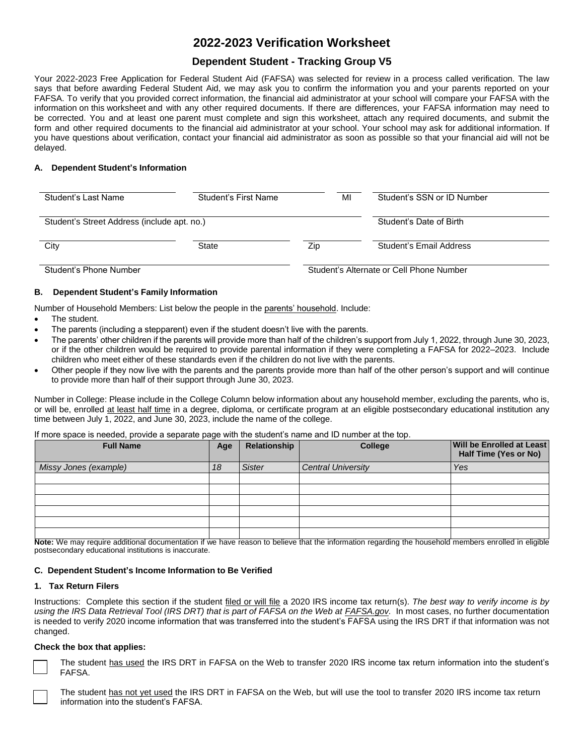# **2022-2023 Verification Worksheet**

# **Dependent Student - Tracking Group V5**

Your 2022-2023 Free Application for Federal Student Aid (FAFSA) was selected for review in a process called verification. The law says that before awarding Federal Student Aid, we may ask you to confirm the information you and your parents reported on your FAFSA. To verify that you provided correct information, the financial aid administrator at your school will compare your FAFSA with the information on this worksheet and with any other required documents. If there are differences, your FAFSA information may need to be corrected. You and at least one parent must complete and sign this worksheet, attach any required documents, and submit the form and other required documents to the financial aid administrator at your school. Your school may ask for additional information. If you have questions about verification, contact your financial aid administrator as soon as possible so that your financial aid will not be delayed.

# **A. Dependent Student's Information**

| Student's Last Name                         | Student's First Name    | MI  | Student's SSN or ID Number |
|---------------------------------------------|-------------------------|-----|----------------------------|
| Student's Street Address (include apt. no.) | Student's Date of Birth |     |                            |
| City                                        | State                   | Zip | Student's Email Address    |

Student's Phone Number Student's Alternate or Cell Phone Number

# **B. Dependent Student's Family Information**

Number of Household Members: List below the people in the parents' household. Include:

- The student.
- The parents (including a stepparent) even if the student doesn't live with the parents.
- The parents' other children if the parents will provide more than half of the children's support from July 1, 2022, through June 30, 2023, or if the other children would be required to provide parental information if they were completing a FAFSA for 2022–2023. Include children who meet either of these standards even if the children do not live with the parents.
- Other people if they now live with the parents and the parents provide more than half of the other person's support and will continue to provide more than half of their support through June 30, 2023.

 Number in College: Please include in the College Column below information about any household member, excluding the parents, who is, or will be, enrolled at least half time in a degree, diploma, or certificate program at an eligible postsecondary educational institution any time between July 1, 2022, and June 30, 2023, include the name of the college.

If more space is needed, provide a separate page with the student's name and ID number at the top.

| <b>Full Name</b>      | Age | Relationship  | <b>College</b>            | <b>Will be Enrolled at Least</b><br>Half Time (Yes or No) |
|-----------------------|-----|---------------|---------------------------|-----------------------------------------------------------|
| Missy Jones (example) | 18  | <b>Sister</b> | <b>Central University</b> | Yes                                                       |
|                       |     |               |                           |                                                           |
|                       |     |               |                           |                                                           |
|                       |     |               |                           |                                                           |
|                       |     |               |                           |                                                           |
|                       |     |               |                           |                                                           |
|                       |     |               |                           |                                                           |

 **Note:** We may require additional documentation if we have reason to believe that the information regarding the household members enrolled in eligible postsecondary educational institutions is inaccurate.

# **C. Dependent Student's Income Information to Be Verified**

# **1. Tax Return Filers**

 Instructions: Complete this section if the student filed or will file a 2020 IRS income tax return(s). *The best way to verify income is by*  using the IRS Data Retrieval Tool (IRS DRT) that is part of FAFSA on the Web at **[FAFSA.gov.](https://FAFSA.gov)** In most cases, no further documentation is needed to verify 2020 income information that was transferred into the student's FAFSA using the IRS DRT if that information was not changed.

# **Check the box that applies:**

The student has used the IRS DRT in FAFSA on the Web to transfer 2020 IRS income tax return information into the student's □ FAFSA.



The student has not yet used the IRS DRT in FAFSA on the Web, but will use the tool to transfer 2020 IRS income tax return information into the student's FAFSA.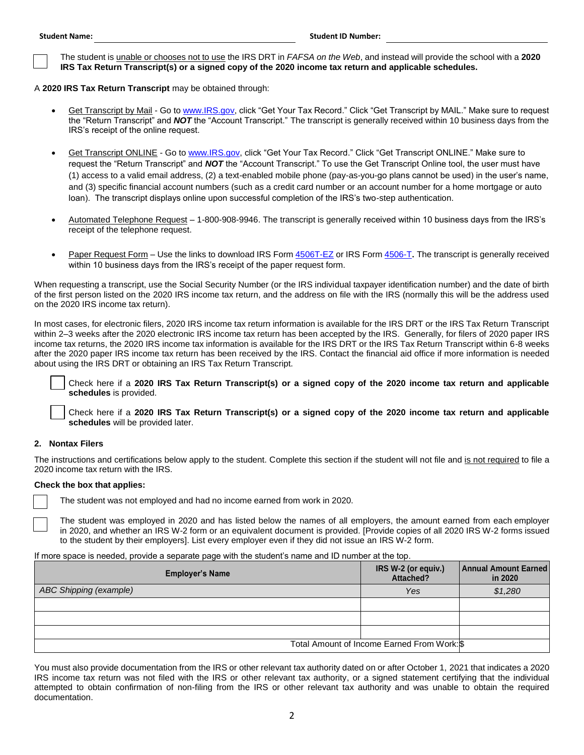The student is unable or chooses not to use the IRS DRT in *FAFSA on the Web*, and instead will provide the school with a **2020**  □ **IRS Tax Return Transcript(s) or a signed copy of the 2020 income tax return and applicable schedules.** 

A **2020 IRS Tax Return Transcript** may be obtained through:

- <u>Get Transcript by Mail</u> Go to <u>www.IRS.gov</u>, click "Get Your Tax Record." Click "Get Transcript by MAIL." Make sure to request the "Return Transcript" and *NOT* the "Account Transcript." The transcript is generally received within 10 business days from the IRS's receipt of the online request.
- (1) access to a valid email address, (2) a text-enabled mobile phone (pay-as-you-go plans cannot be used) in the user's name, and (3) specific financial account numbers (such as a credit card number or an account number for a home mortgage or auto loan). The transcript displays online upon successful completion of the IRS's two-step authentication. Get Transcript ONLINE - Go t[o www.IRS.gov,](http://www.irs.gov/) click "Get Your Tax Record." Click "Get Transcript ONLINE." Make sure to request the "Return Transcript" and *NOT* the "Account Transcript." To use the Get Transcript Online tool, the user must have
- Automated Telephone Request 1-800-908-9946. The transcript is generally received within 10 business days from the IRS's receipt of the telephone request.
- Paper Request Form Use the links to download IRS Form [4506T-EZ](https://www.irs.gov/pub/irs-pdf/f4506tez.pdf) or IRS For[m 4506-T](https://www.irs.gov/pub/irs-pdf/f4506t.pdf). The transcript is generally received within 10 business days from the IRS's receipt of the paper request form.

 When requesting a transcript, use the Social Security Number (or the IRS individual taxpayer identification number) and the date of birth of the first person listed on the 2020 IRS income tax return, and the address on file with the IRS (normally this will be the address used on the 2020 IRS income tax return).

 In most cases, for electronic filers, 2020 IRS income tax return information is available for the IRS DRT or the IRS Tax Return Transcript after the 2020 paper IRS income tax return has been received by the IRS. Contact the financial aid office if more information is needed within 2–3 weeks after the 2020 electronic IRS income tax return has been accepted by the IRS. Generally, for filers of 2020 paper IRS income tax returns, the 2020 IRS income tax information is available for the IRS DRT or the IRS Tax Return Transcript within 6-8 weeks about using the IRS DRT or obtaining an IRS Tax Return Transcript.

 □ Check here if a **2020 IRS Tax Return Transcript(s) or a signed copy of the 2020 income tax return and applicable schedules** is provided.

 □ Check here if a **2020 IRS Tax Return Transcript(s) or a signed copy of the 2020 income tax return and applicable schedules** will be provided later.

# **2. Nontax Filers**

The instructions and certifications below apply to the student. Complete this section if the student will not file and is not required to file a 2020 income tax return with the IRS.

#### **Check the box that applies:**

□

The student was not employed and had no income earned from work in 2020.

□ i The student was employed in 2020 and has listed below the names of all employers, the amount earned from each employer in 2020, and whether an IRS W-2 form or an equivalent document is provided. [Provide copies of all 2020 IRS W-2 forms issued to the student by their employers]. List every employer even if they did not issue an IRS W-2 form.

#### If more space is needed, provide a separate page with the student's name and ID number at the top.

| <b>Employer's Name</b> | IRS W-2 (or equiv.)<br>Attached?            | <b>Annual Amount Earned</b><br>in 2020 |
|------------------------|---------------------------------------------|----------------------------------------|
| ABC Shipping (example) | Yes                                         | \$1,280                                |
|                        |                                             |                                        |
|                        |                                             |                                        |
|                        |                                             |                                        |
|                        | Total Amount of Income Earned From Work: \$ |                                        |

 You must also provide documentation from the IRS or other relevant tax authority dated on or after October 1, 2021 that indicates a 2020 IRS income tax return was not filed with the IRS or other relevant tax authority, or a signed statement certifying that the individual attempted to obtain confirmation of non-filing from the IRS or other relevant tax authority and was unable to obtain the required documentation.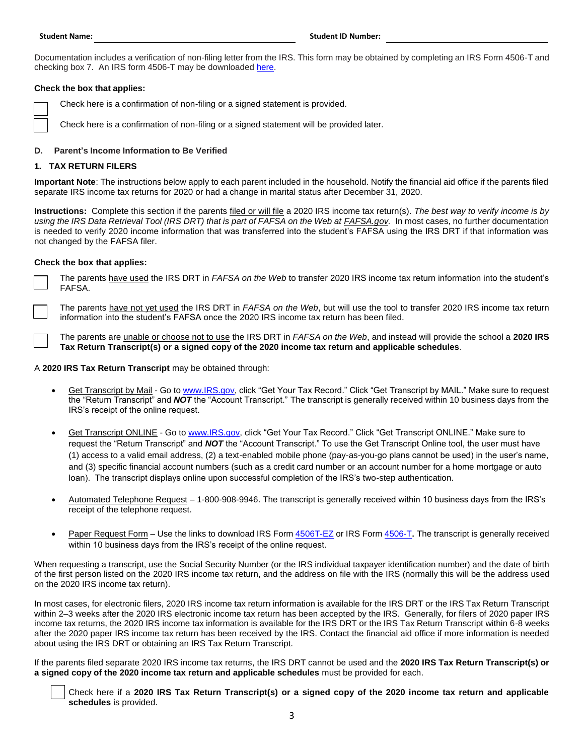Documentation includes a verification of non-filing letter from the IRS. This form may be obtained by completing an IRS Form 4506-T and checking box 7. An IRS form 4506-T may be downloaded [here.](https://www.irs.gov/pub/irs-pdf/f4506t.pdf)

# **Check the box that applies:**

□ Check here is a confirmation of non-filing or a signed statement is provided.

□ Check here is a confirmation of non-filing or a signed statement will be provided later.

## **D. Parent's Income Information to Be Verified**

#### **1. TAX RETURN FILERS**

 **Important Note**: The instructions below apply to each parent included in the household. Notify the financial aid office if the parents filed separate IRS income tax returns for 2020 or had a change in marital status after December 31, 2020.

using the IRS Data Retrieval Tool (IRS DRT) that is part of FAFSA on the Web at **[FAFSA.gov](https://FAFSA.gov)**. In most cases, no further documentation is needed to verify 2020 income information that was transferred into the student's FAFSA using the IRS DRT if that information was **Instructions:** Complete this section if the parents filed or will file a 2020 IRS income tax return(s). *The best way to verify income is by*  not changed by the FAFSA filer.

#### **Check the box that applies:**

 The parents have used the IRS DRT in *FAFSA on the Web* to transfer 2020 IRS income tax return information into the student's □ FAFSA.

 The parents have not yet used the IRS DRT in *FAFSA on the Web*, but will use the tool to transfer 2020 IRS income tax return □ 」 information into the student's FAFSA once the 2020 IRS income tax return has been filed.

 The parents are unable or choose not to use the IRS DRT in *FAFSA on the Web*, and instead will provide the school a **2020 IRS**  □ **Tax Return Transcript(s) or a signed copy of the 2020 income tax return and applicable schedules**.

#### A **2020 IRS Tax Return Transcript** may be obtained through:

- Get Transcript by Mail Go to [www.IRS.gov,](http://www.irs.gov/) click "Get Your Tax Record." Click "Get Transcript by MAIL." Make sure to request the "Return Transcript" and *NOT* the "Account Transcript." The transcript is generally received within 10 business days from the IRS's receipt of the online request.
- (1) access to a valid email address, (2) a text-enabled mobile phone (pay-as-you-go plans cannot be used) in the user's name, and (3) specific financial account numbers (such as a credit card number or an account number for a home mortgage or auto loan). The transcript displays online upon successful completion of the IRS's two-step authentication. Get Transcript ONLINE - Go t[o www.IRS.gov,](http://www.irs.gov/) click "Get Your Tax Record." Click "Get Transcript ONLINE." Make sure to request the "Return Transcript" and *NOT* the "Account Transcript." To use the Get Transcript Online tool, the user must have
- Automated Telephone Request 1-800-908-9946. The transcript is generally received within 10 business days from the IRS's receipt of the telephone request.
- Paper Request Form Use the links to download IRS Form [4506T-EZ](https://www.irs.gov/pub/irs-pdf/f4506tez.pdf) or IRS For[m 4506-T](https://www.irs.gov/pub/irs-pdf/f4506t.pdf). The transcript is generally received within 10 business days from the IRS's receipt of the online request.

 When requesting a transcript, use the Social Security Number (or the IRS individual taxpayer identification number) and the date of birth of the first person listed on the 2020 IRS income tax return, and the address on file with the IRS (normally this will be the address used on the 2020 IRS income tax return).

 In most cases, for electronic filers, 2020 IRS income tax return information is available for the IRS DRT or the IRS Tax Return Transcript after the 2020 paper IRS income tax return has been received by the IRS. Contact the financial aid office if more information is needed within 2–3 weeks after the 2020 IRS electronic income tax return has been accepted by the IRS. Generally, for filers of 2020 paper IRS income tax returns, the 2020 IRS income tax information is available for the IRS DRT or the IRS Tax Return Transcript within 6-8 weeks about using the IRS DRT or obtaining an IRS Tax Return Transcript.

 If the parents filed separate 2020 IRS income tax returns, the IRS DRT cannot be used and the **2020 IRS Tax Return Transcript(s) or a signed copy of the 2020 income tax return and applicable schedules** must be provided for each.

 □ Check here if a **2020 IRS Tax Return Transcript(s) or a signed copy of the 2020 income tax return and applicable schedules** is provided.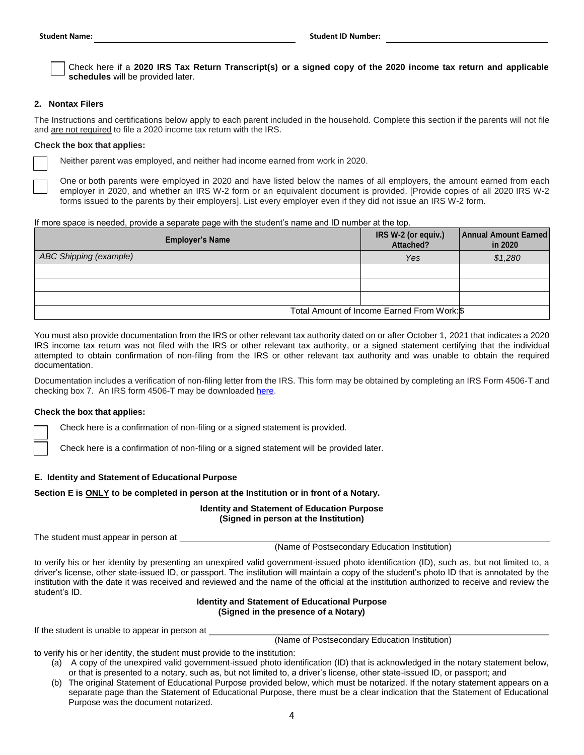│ │ Check here if a 2020 IRS Tax Return Transcript(s) or a signed copy of the 2020 income tax return and applicable<br>● schedules will be provided later **schedules** will be provided later.

#### **2. Nontax Filers**

 The Instructions and certifications below apply to each parent included in the household. Complete this section if the parents will not file and are not required to file a 2020 income tax return with the IRS.

#### **Check the box that applies:**

□

Neither parent was employed, and neither had income earned from work in 2020.

 employer in 2020, and whether an IRS W-2 form or an equivalent document is provided. [Provide copies of all 2020 IRS W-2 □ One or both parents were employed in 2020 and have listed below the names of all employers, the amount earned from each forms issued to the parents by their employers]. List every employer even if they did not issue an IRS W-2 form.

#### If more space is needed, provide a separate page with the student's name and ID number at the top.

| <b>Employer's Name</b> | IRS W-2 (or equiv.)<br>Attached?            | Annual Amount Earned<br>in 2020 |
|------------------------|---------------------------------------------|---------------------------------|
| ABC Shipping (example) | Yes                                         | \$1,280                         |
|                        |                                             |                                 |
|                        |                                             |                                 |
|                        |                                             |                                 |
|                        | Total Amount of Income Earned From Work: \$ |                                 |

 You must also provide documentation from the IRS or other relevant tax authority dated on or after October 1, 2021 that indicates a 2020 IRS income tax return was not filed with the IRS or other relevant tax authority, or a signed statement certifying that the individual attempted to obtain confirmation of non-filing from the IRS or other relevant tax authority and was unable to obtain the required documentation.

 Documentation includes a verification of non-filing letter from the IRS. This form may be obtained by completing an IRS Form 4506-T and checking box 7. An IRS form 4506-T may be downloaded [here.](https://www.irs.gov/pub/irs-pdf/f4506t.pdf)

# **Check the box that applies:**

□

□ Check here is a confirmation of non-filing or a signed statement is provided.

Check here is a confirmation of non-filing or a signed statement will be provided later.

# **E. Identity and Statement of Educational Purpose**

# **Section E is ONLY to be completed in person at the Institution or in front of a Notary.**

# **Identity and Statement of Education Purpose (Signed in person at the Institution)**

The student must appear in person at

(Name of Postsecondary Education Institution)

 to verify his or her identity by presenting an unexpired valid government-issued photo identification (ID), such as, but not limited to, a driver's license, other state-issued ID, or passport. The institution will maintain a copy of the student's photo ID that is annotated by the institution with the date it was received and reviewed and the name of the official at the institution authorized to receive and review the student's ID.

# **Identity and Statement of Educational Purpose (Signed in the presence of a Notary)**

If the student is unable to appear in person at

(Name of Postsecondary Education Institution)

to verify his or her identity, the student must provide to the institution:

- (a) A copy of the unexpired valid government-issued photo identification (ID) that is acknowledged in the notary statement below, or that is presented to a notary, such as, but not limited to, a driver's license, other state-issued ID, or passport; and
- (b) The original Statement of Educational Purpose provided below, which must be notarized. If the notary statement appears on a separate page than the Statement of Educational Purpose, there must be a clear indication that the Statement of Educational Purpose was the document notarized.